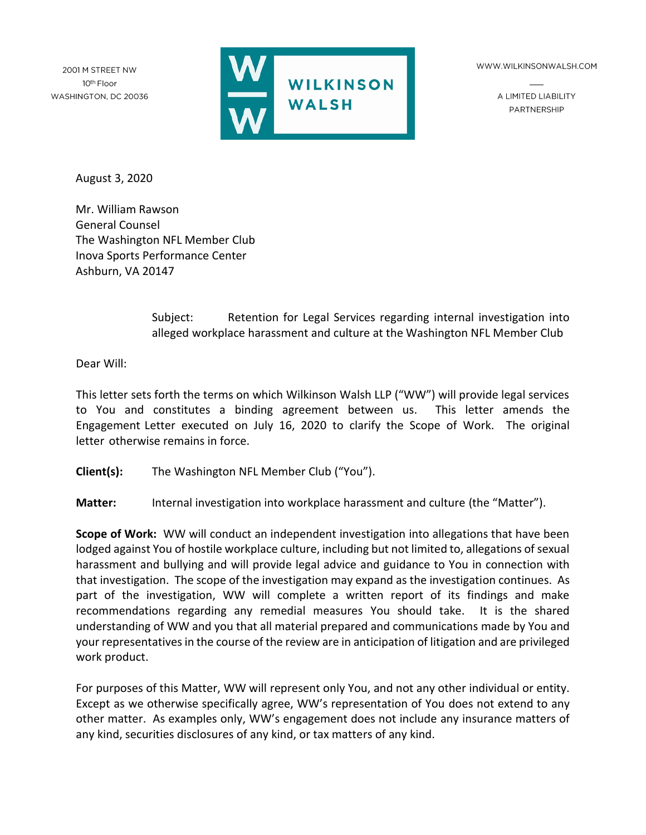2001 M STREET NW 10th Floor WASHINGTON, DC 20036



WWW.WILKINSONWALSH.COM

A LIMITED LIABILITY PARTNERSHIP

August 3, 2020

Mr. William Rawson General Counsel The Washington NFL Member Club Inova Sports Performance Center Ashburn, VA 20147

> Subject: Retention for Legal Services regarding internal investigation into alleged workplace harassment and culture at the Washington NFL Member Club

Dear Will:

This letter sets forth the terms on which Wilkinson Walsh LLP ("WW") will provide legal services to You and constitutes a binding agreement between us. This letter amends the Engagement Letter executed on July 16, 2020 to clarify the Scope of Work. The original letter otherwise remains in force.

**Client(s):** The Washington NFL Member Club ("You").

**Matter:** Internal investigation into workplace harassment and culture (the "Matter").

**Scope of Work:** WW will conduct an independent investigation into allegations that have been lodged against You of hostile workplace culture, including but not limited to, allegations of sexual harassment and bullying and will provide legal advice and guidance to You in connection with that investigation. The scope of the investigation may expand as the investigation continues. As part of the investigation, WW will complete a written report of its findings and make recommendations regarding any remedial measures You should take. It is the shared understanding of WW and you that all material prepared and communications made by You and your representatives in the course of the review are in anticipation of litigation and are privileged work product.

For purposes of this Matter, WW will represent only You, and not any other individual or entity. Except as we otherwise specifically agree, WW's representation of You does not extend to any other matter. As examples only, WW's engagement does not include any insurance matters of any kind, securities disclosures of any kind, or tax matters of any kind.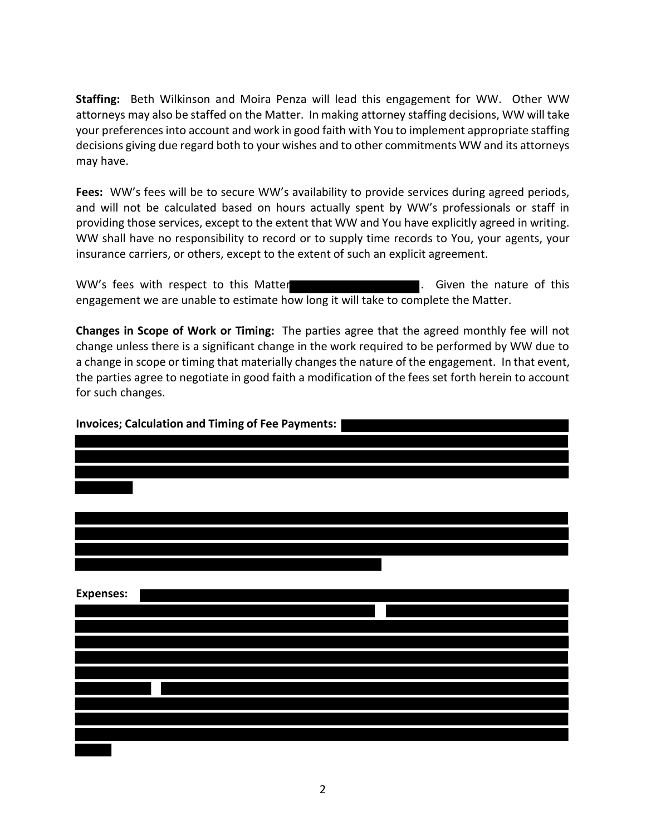**Staffing:** Beth Wilkinson and Moira Penza will lead this engagement for WW. Other WW attorneys may also be staffed on the Matter. In making attorney staffing decisions, WW will take your preferences into account and work in good faith with You to implement appropriate staffing decisions giving due regard both to your wishes and to other commitments WW and its attorneys may have.

**Fees:** WW's fees will be to secure WW's availability to provide services during agreed periods, and will not be calculated based on hours actually spent by WW's professionals or staff in providing those services, except to the extent that WW and You have explicitly agreed in writing. WW shall have no responsibility to record or to supply time records to You, your agents, your insurance carriers, or others, except to the extent of such an explicit agreement.

WW's fees with respect to this Matter **Exercise 20 and 10 and 10 million**. Given the nature of this engagement we are unable to estimate how long it will take to complete the Matter.

**Changes in Scope of Work or Timing:** The parties agree that the agreed monthly fee will not change unless there is a significant change in the work required to be performed by WW due to a change in scope or timing that materially changes the nature of the engagement. In that event, the parties agree to negotiate in good faith a modification of the fees set forth herein to account for such changes.

| <b>Invoices; Calculation and Timing of Fee Payments:</b> |  |  |  |  |
|----------------------------------------------------------|--|--|--|--|
|                                                          |  |  |  |  |
|                                                          |  |  |  |  |
|                                                          |  |  |  |  |
|                                                          |  |  |  |  |
|                                                          |  |  |  |  |
|                                                          |  |  |  |  |
|                                                          |  |  |  |  |
|                                                          |  |  |  |  |
|                                                          |  |  |  |  |
|                                                          |  |  |  |  |
| <b>Expenses:</b>                                         |  |  |  |  |
|                                                          |  |  |  |  |
|                                                          |  |  |  |  |
|                                                          |  |  |  |  |
|                                                          |  |  |  |  |
|                                                          |  |  |  |  |
|                                                          |  |  |  |  |
|                                                          |  |  |  |  |
|                                                          |  |  |  |  |
|                                                          |  |  |  |  |
|                                                          |  |  |  |  |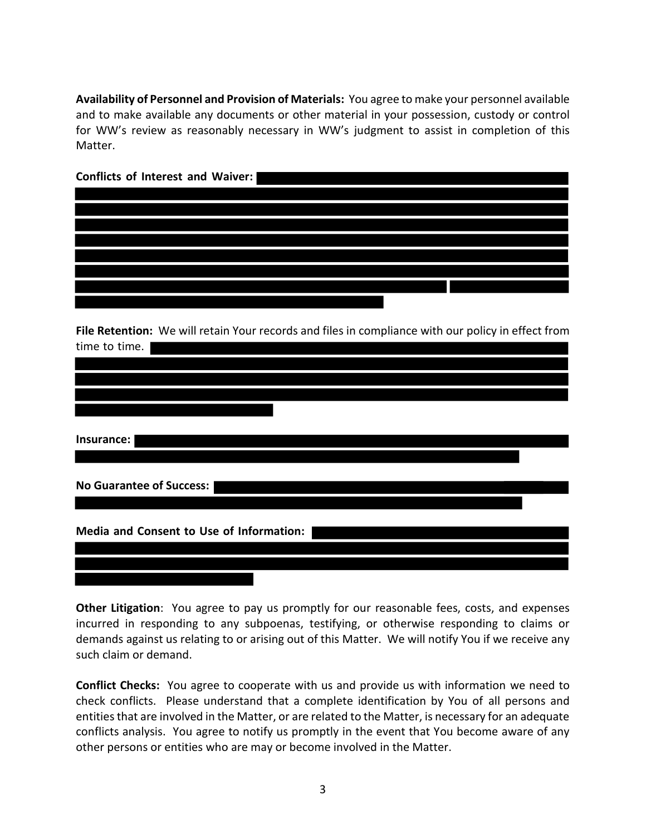**Availability of Personnel and Provision of Materials:** You agree to make your personnel available and to make available any documents or other material in your possession, custody or control for WW's review as reasonably necessary in WW's judgment to assist in completion of this Matter.

| Conflicts of Interest and Waiver:                                                                  |
|----------------------------------------------------------------------------------------------------|
|                                                                                                    |
|                                                                                                    |
|                                                                                                    |
|                                                                                                    |
|                                                                                                    |
|                                                                                                    |
|                                                                                                    |
|                                                                                                    |
| File Retention: We will retain Your records and files in compliance with our policy in effect from |
|                                                                                                    |
| time to time.                                                                                      |
|                                                                                                    |
|                                                                                                    |
|                                                                                                    |
|                                                                                                    |
| Insurance:                                                                                         |
|                                                                                                    |
|                                                                                                    |
| <b>No Guarantee of Success:</b>                                                                    |
|                                                                                                    |
|                                                                                                    |
| Media and Consent to Use of Information:                                                           |
|                                                                                                    |
|                                                                                                    |
|                                                                                                    |

**Other Litigation**: You agree to pay us promptly for our reasonable fees, costs, and expenses incurred in responding to any subpoenas, testifying, or otherwise responding to claims or demands against us relating to or arising out of this Matter. We will notify You if we receive any such claim or demand.

**Conflict Checks:** You agree to cooperate with us and provide us with information we need to check conflicts. Please understand that a complete identification by You of all persons and entities that are involved in the Matter, or are related to the Matter, is necessary for an adequate conflicts analysis. You agree to notify us promptly in the event that You become aware of any other persons or entities who are may or become involved in the Matter.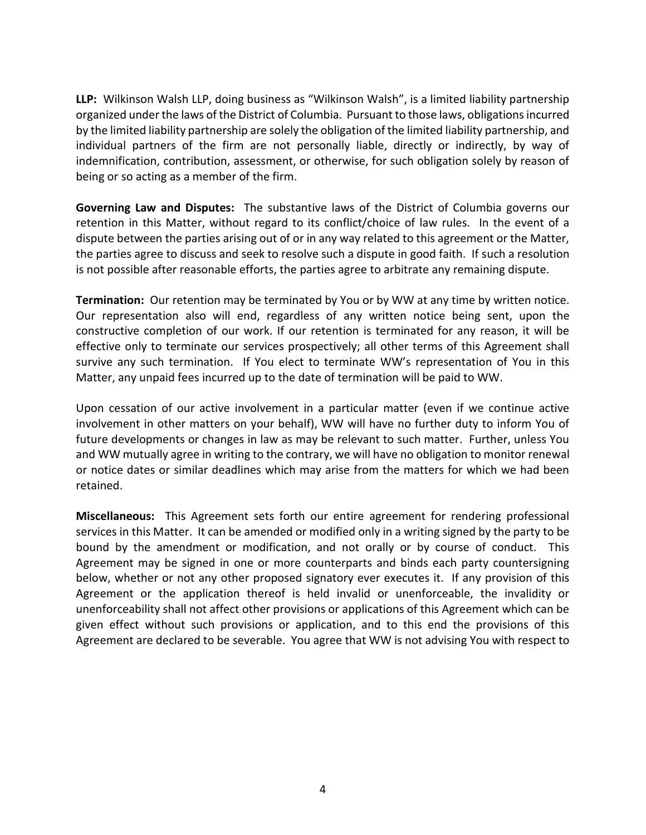**LLP:** Wilkinson Walsh LLP, doing business as "Wilkinson Walsh", is a limited liability partnership organized under the laws of the District of Columbia. Pursuant to those laws, obligations incurred by the limited liability partnership are solely the obligation of the limited liability partnership, and individual partners of the firm are not personally liable, directly or indirectly, by way of indemnification, contribution, assessment, or otherwise, for such obligation solely by reason of being or so acting as a member of the firm.

**Governing Law and Disputes:** The substantive laws of the District of Columbia governs our retention in this Matter, without regard to its conflict/choice of law rules. In the event of a dispute between the parties arising out of or in any way related to this agreement or the Matter, the parties agree to discuss and seek to resolve such a dispute in good faith. If such a resolution is not possible after reasonable efforts, the parties agree to arbitrate any remaining dispute.

**Termination:** Our retention may be terminated by You or by WW at any time by written notice. Our representation also will end, regardless of any written notice being sent, upon the constructive completion of our work. If our retention is terminated for any reason, it will be effective only to terminate our services prospectively; all other terms of this Agreement shall survive any such termination. If You elect to terminate WW's representation of You in this Matter, any unpaid fees incurred up to the date of termination will be paid to WW.

Upon cessation of our active involvement in a particular matter (even if we continue active involvement in other matters on your behalf), WW will have no further duty to inform You of future developments or changes in law as may be relevant to such matter. Further, unless You and WW mutually agree in writing to the contrary, we will have no obligation to monitor renewal or notice dates or similar deadlines which may arise from the matters for which we had been retained.

**Miscellaneous:** This Agreement sets forth our entire agreement for rendering professional services in this Matter. It can be amended or modified only in a writing signed by the party to be bound by the amendment or modification, and not orally or by course of conduct. This Agreement may be signed in one or more counterparts and binds each party countersigning below, whether or not any other proposed signatory ever executes it. If any provision of this Agreement or the application thereof is held invalid or unenforceable, the invalidity or unenforceability shall not affect other provisions or applications of this Agreement which can be given effect without such provisions or application, and to this end the provisions of this Agreement are declared to be severable. You agree that WW is not advising You with respect to